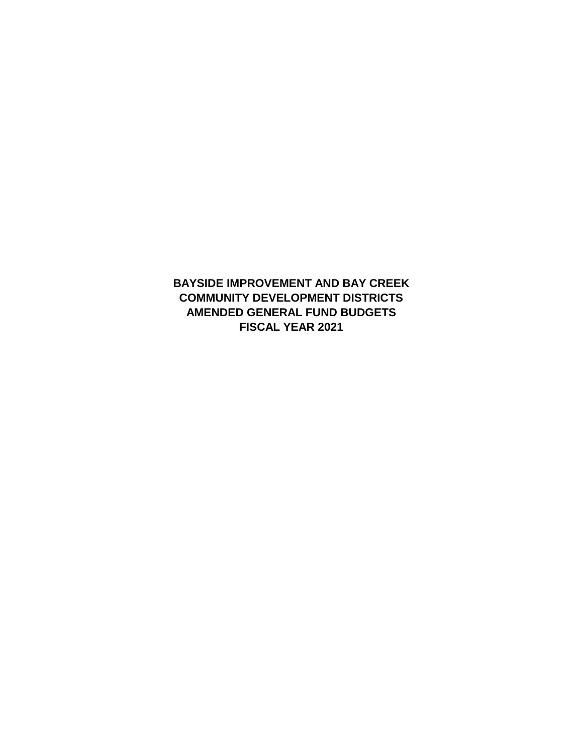**BAYSIDE IMPROVEMENT AND BAY CREEK COMMUNITY DEVELOPMENT DISTRICTS AMENDED GENERAL FUND BUDGETS FISCAL YEAR 2021**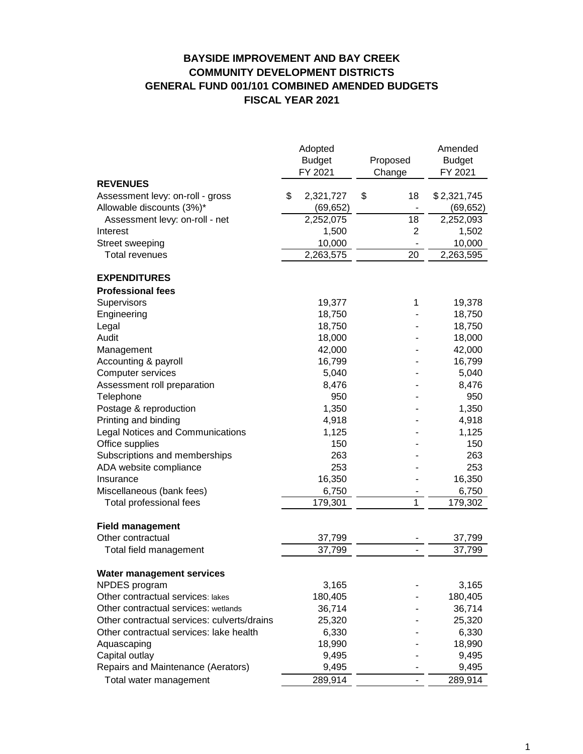### **BAYSIDE IMPROVEMENT AND BAY CREEK COMMUNITY DEVELOPMENT DISTRICTS GENERAL FUND 001/101 COMBINED AMENDED BUDGETS FISCAL YEAR 2021**

|                                                  | Adopted<br><b>Budget</b><br>FY 2021 | Proposed<br>Change | Amended<br><b>Budget</b><br>FY 2021 |
|--------------------------------------------------|-------------------------------------|--------------------|-------------------------------------|
| <b>REVENUES</b>                                  |                                     |                    |                                     |
| Assessment levy: on-roll - gross                 | \$<br>2,321,727                     | \$<br>18           | \$2,321,745                         |
| Allowable discounts (3%)*                        | (69, 652)                           |                    | (69, 652)                           |
| Assessment levy: on-roll - net                   | 2,252,075                           | 18                 | 2,252,093                           |
| Interest                                         | 1,500                               | 2                  | 1,502                               |
| Street sweeping                                  | 10,000                              |                    | 10,000                              |
| <b>Total revenues</b>                            | 2,263,575                           | 20                 | 2,263,595                           |
| <b>EXPENDITURES</b>                              |                                     |                    |                                     |
| <b>Professional fees</b>                         |                                     |                    |                                     |
| Supervisors                                      | 19,377                              | 1                  | 19,378                              |
| Engineering                                      | 18,750                              |                    | 18,750                              |
| Legal                                            | 18,750                              |                    | 18,750                              |
| Audit                                            | 18,000                              |                    | 18,000                              |
|                                                  | 42,000                              |                    | 42,000                              |
| Management                                       | 16,799                              |                    | 16,799                              |
| Accounting & payroll                             | 5,040                               |                    | 5,040                               |
| Computer services<br>Assessment roll preparation | 8,476                               |                    | 8,476                               |
| Telephone                                        | 950                                 |                    | 950                                 |
|                                                  | 1,350                               |                    | 1,350                               |
| Postage & reproduction                           |                                     |                    |                                     |
| Printing and binding                             | 4,918                               |                    | 4,918                               |
| <b>Legal Notices and Communications</b>          | 1,125                               |                    | 1,125                               |
| Office supplies                                  | 150                                 |                    | 150                                 |
| Subscriptions and memberships                    | 263                                 |                    | 263                                 |
| ADA website compliance                           | 253                                 |                    | 253                                 |
| Insurance                                        | 16,350                              |                    | 16,350                              |
| Miscellaneous (bank fees)                        | 6,750                               |                    | 6,750                               |
| Total professional fees                          | 179,301                             | 1                  | 179,302                             |
| <b>Field management</b>                          |                                     |                    |                                     |
| Other contractual                                | 37,799                              |                    | 37,799                              |
| Total field management                           | 37,799                              |                    | 37,799                              |
| Water management services                        |                                     |                    |                                     |
| NPDES program                                    | 3,165                               |                    | 3,165                               |
| Other contractual services: lakes                | 180,405                             |                    | 180,405                             |
| Other contractual services: wetlands             | 36,714                              |                    | 36,714                              |
| Other contractual services: culverts/drains      | 25,320                              |                    | 25,320                              |
| Other contractual services: lake health          | 6,330                               |                    | 6,330                               |
| Aquascaping                                      | 18,990                              |                    | 18,990                              |
| Capital outlay                                   | 9,495                               |                    | 9,495                               |
| Repairs and Maintenance (Aerators)               | 9,495                               |                    | 9,495                               |
| Total water management                           | 289,914                             |                    | 289,914                             |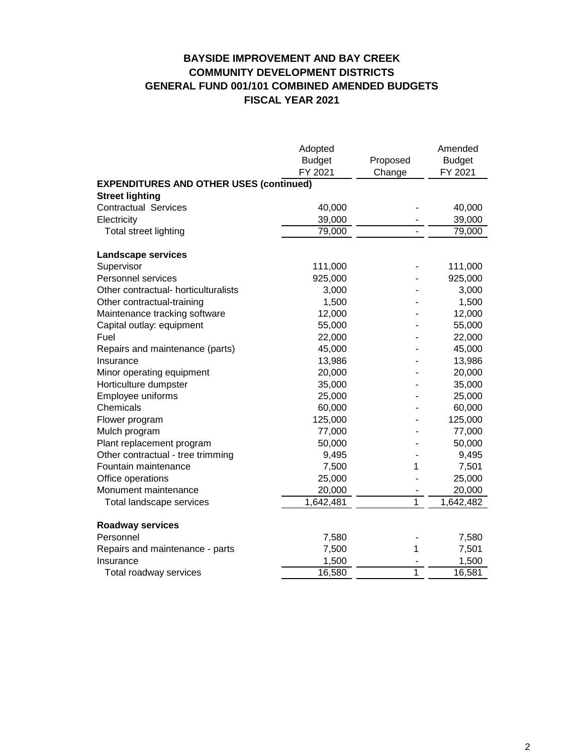# **BAYSIDE IMPROVEMENT AND BAY CREEK COMMUNITY DEVELOPMENT DISTRICTS GENERAL FUND 001/101 COMBINED AMENDED BUDGETS FISCAL YEAR 2021**

|                                                             | Adopted          |                | Amended          |
|-------------------------------------------------------------|------------------|----------------|------------------|
|                                                             | <b>Budget</b>    | Proposed       | <b>Budget</b>    |
|                                                             | FY 2021          | Change         | FY 2021          |
| <b>EXPENDITURES AND OTHER USES (continued)</b>              |                  |                |                  |
| <b>Street lighting</b>                                      |                  |                |                  |
| <b>Contractual Services</b>                                 | 40,000           |                | 40,000           |
| Electricity                                                 | 39,000           |                | 39,000           |
| Total street lighting                                       | 79,000           |                | 79,000           |
|                                                             |                  |                |                  |
| <b>Landscape services</b>                                   |                  |                |                  |
| Supervisor<br>Personnel services                            | 111,000          |                | 111,000          |
| Other contractual- horticulturalists                        | 925,000<br>3,000 |                | 925,000<br>3,000 |
|                                                             |                  |                | 1,500            |
| Other contractual-training<br>Maintenance tracking software | 1,500<br>12,000  |                | 12,000           |
|                                                             |                  |                |                  |
| Capital outlay: equipment<br>Fuel                           | 55,000<br>22,000 |                | 55,000           |
|                                                             | 45,000           |                | 22,000<br>45,000 |
| Repairs and maintenance (parts)<br>Insurance                | 13,986           |                | 13,986           |
| Minor operating equipment                                   | 20,000           |                | 20,000           |
| Horticulture dumpster                                       | 35,000           |                | 35,000           |
| Employee uniforms                                           | 25,000           |                | 25,000           |
| Chemicals                                                   | 60,000           |                | 60,000           |
| Flower program                                              | 125,000          |                | 125,000          |
| Mulch program                                               | 77,000           |                | 77,000           |
| Plant replacement program                                   | 50,000           |                | 50,000           |
| Other contractual - tree trimming                           | 9,495            |                | 9,495            |
| Fountain maintenance                                        | 7,500            | 1              | 7,501            |
| Office operations                                           | 25,000           |                | 25,000           |
| Monument maintenance                                        | 20,000           |                | 20,000           |
| Total landscape services                                    | 1,642,481        | $\overline{1}$ | 1,642,482        |
|                                                             |                  |                |                  |
| <b>Roadway services</b>                                     |                  |                |                  |
| Personnel                                                   | 7,580            |                | 7,580            |
| Repairs and maintenance - parts                             | 7,500            | 1              | 7,501            |
| Insurance                                                   | 1,500            |                | 1,500            |
| Total roadway services                                      | 16,580           | $\mathbf{1}$   | 16,581           |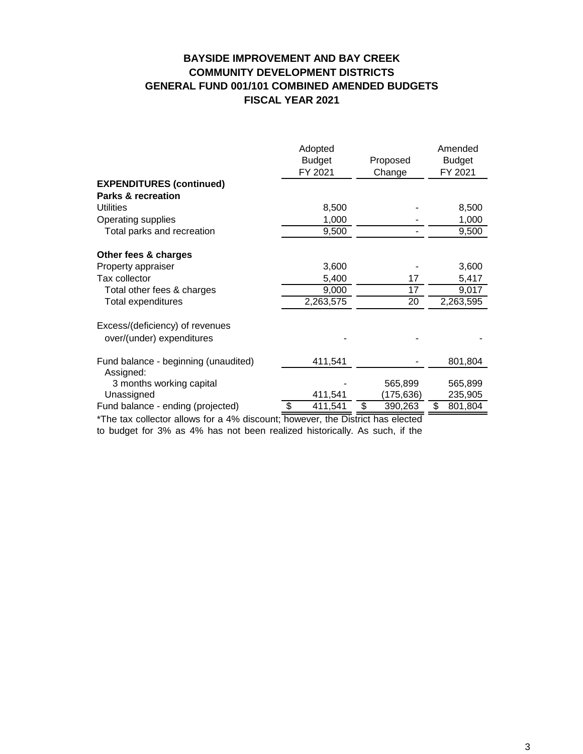# **BAYSIDE IMPROVEMENT AND BAY CREEK COMMUNITY DEVELOPMENT DISTRICTS GENERAL FUND 001/101 COMBINED AMENDED BUDGETS FISCAL YEAR 2021**

|                                                   | Adopted<br><b>Budget</b><br>FY 2021 | Proposed<br>Change | Amended<br><b>Budget</b><br>FY 2021 |
|---------------------------------------------------|-------------------------------------|--------------------|-------------------------------------|
| <b>EXPENDITURES (continued)</b>                   |                                     |                    |                                     |
| <b>Parks &amp; recreation</b>                     |                                     |                    |                                     |
| <b>Utilities</b>                                  | 8,500                               |                    | 8,500                               |
| Operating supplies                                | 1,000                               |                    | 1,000                               |
| Total parks and recreation                        | 9,500                               |                    | 9,500                               |
| Other fees & charges                              |                                     |                    |                                     |
| Property appraiser                                | 3,600                               |                    | 3,600                               |
| Tax collector                                     | 5,400                               | 17                 | 5,417                               |
| Total other fees & charges                        | 9,000                               | 17                 | 9,017                               |
| Total expenditures                                | 2,263,575                           | 20                 | 2,263,595                           |
| Excess/(deficiency) of revenues                   |                                     |                    |                                     |
| over/(under) expenditures                         |                                     |                    |                                     |
| Fund balance - beginning (unaudited)<br>Assigned: | 411,541                             |                    | 801,804                             |
| 3 months working capital                          |                                     | 565,899            | 565,899                             |
| Unassigned                                        | 411,541                             | (175, 636)         | 235,905                             |
| Fund balance - ending (projected)                 | \$<br>411,541                       | \$<br>390,263      | \$<br>801,804                       |

\*The tax collector allows for a 4% discount; however, the District has elected

to budget for 3% as 4% has not been realized historically. As such, if the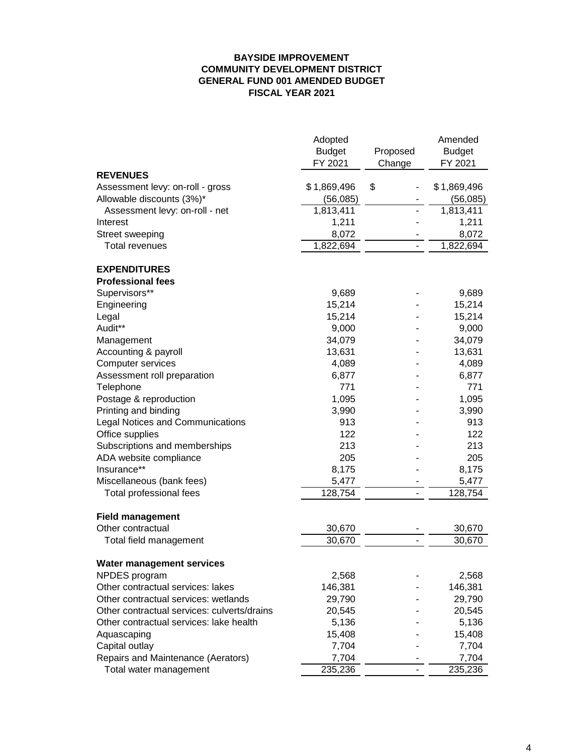#### **BAYSIDE IMPROVEMENT COMMUNITY DEVELOPMENT DISTRICT GENERAL FUND 001 AMENDED BUDGET FISCAL YEAR 2021**

|                                             | Adopted<br><b>Budget</b><br>FY 2021 | Proposed<br>Change | Amended<br><b>Budget</b><br>FY 2021 |
|---------------------------------------------|-------------------------------------|--------------------|-------------------------------------|
| <b>REVENUES</b>                             |                                     |                    |                                     |
| Assessment levy: on-roll - gross            | \$1,869,496                         | \$                 | \$1,869,496                         |
| Allowable discounts (3%)*                   | (56,085)                            |                    | (56,085)                            |
| Assessment levy: on-roll - net              | 1,813,411                           |                    | 1,813,411                           |
| Interest                                    | 1,211                               |                    | 1,211                               |
| Street sweeping                             | 8,072                               |                    | 8,072                               |
| <b>Total revenues</b>                       | 1,822,694                           |                    | 1,822,694                           |
| <b>EXPENDITURES</b>                         |                                     |                    |                                     |
| <b>Professional fees</b>                    |                                     |                    |                                     |
| Supervisors**                               | 9,689                               |                    | 9,689                               |
| Engineering                                 | 15,214                              |                    | 15,214                              |
| Legal                                       | 15,214                              |                    | 15,214                              |
| Audit**                                     | 9,000                               |                    | 9,000                               |
| Management                                  | 34,079                              |                    | 34,079                              |
| Accounting & payroll                        | 13,631                              |                    | 13,631                              |
| Computer services                           | 4,089                               |                    | 4,089                               |
| Assessment roll preparation                 | 6,877                               |                    | 6,877                               |
| Telephone                                   | 771                                 |                    | 771                                 |
| Postage & reproduction                      | 1,095                               |                    | 1,095                               |
| Printing and binding                        | 3,990                               |                    | 3,990                               |
| Legal Notices and Communications            | 913                                 |                    | 913                                 |
| Office supplies                             | 122                                 |                    | 122                                 |
| Subscriptions and memberships               | 213                                 |                    | 213                                 |
| ADA website compliance                      | 205                                 |                    | 205                                 |
| Insurance**                                 | 8,175                               |                    | 8,175                               |
| Miscellaneous (bank fees)                   | 5,477                               |                    | 5,477                               |
| Total professional fees                     | 128,754                             |                    | 128,754                             |
| <b>Field management</b>                     |                                     |                    |                                     |
| Other contractual                           | 30,670                              |                    | 30,670                              |
| Total field management                      | 30,670                              |                    | 30,670                              |
| Water management services                   |                                     |                    |                                     |
| NPDES program                               | 2,568                               |                    | 2,568                               |
| Other contractual services: lakes           | 146,381                             |                    | 146,381                             |
| Other contractual services: wetlands        | 29,790                              |                    | 29,790                              |
| Other contractual services: culverts/drains | 20,545                              |                    | 20,545                              |
| Other contractual services: lake health     | 5,136                               |                    | 5,136                               |
| Aquascaping                                 | 15,408                              |                    | 15,408                              |
| Capital outlay                              | 7,704                               |                    | 7,704                               |
| Repairs and Maintenance (Aerators)          | 7,704                               |                    | 7,704                               |
| Total water management                      | 235,236                             |                    | 235,236                             |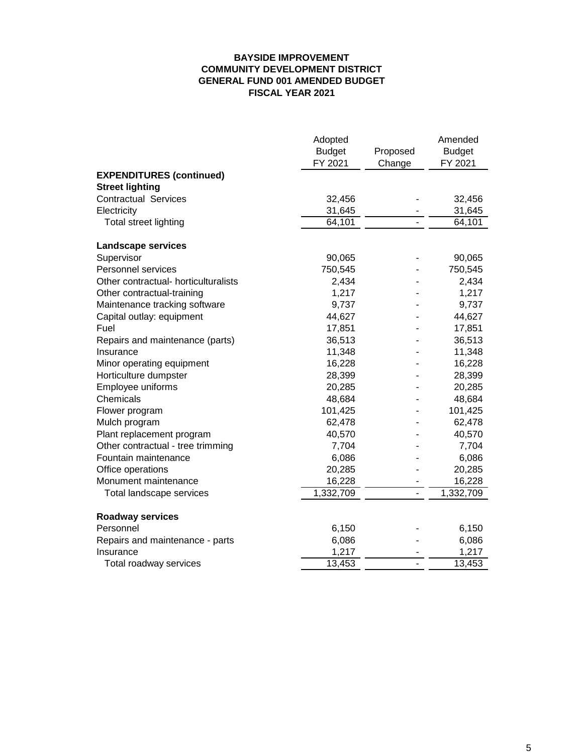#### **BAYSIDE IMPROVEMENT COMMUNITY DEVELOPMENT DISTRICT GENERAL FUND 001 AMENDED BUDGET FISCAL YEAR 2021**

|                                      | Adopted                |          | Amended       |
|--------------------------------------|------------------------|----------|---------------|
|                                      | <b>Budget</b>          | Proposed | <b>Budget</b> |
|                                      | FY 2021                | Change   | FY 2021       |
| <b>EXPENDITURES (continued)</b>      |                        |          |               |
| <b>Street lighting</b>               |                        |          |               |
| <b>Contractual Services</b>          | 32,456                 |          | 32,456        |
| Electricity                          | 31,645                 |          | 31,645        |
| Total street lighting                | 64,101                 |          | 64,101        |
| Landscape services                   |                        |          |               |
| Supervisor                           | 90,065                 |          | 90,065        |
| Personnel services                   | 750,545                |          | 750,545       |
| Other contractual- horticulturalists | 2,434                  |          | 2,434         |
| Other contractual-training           | 1,217                  |          | 1,217         |
| Maintenance tracking software        | 9,737                  |          | 9,737         |
| Capital outlay: equipment            | 44,627                 |          | 44,627        |
| Fuel                                 | 17,851                 |          | 17,851        |
| Repairs and maintenance (parts)      | 36,513                 |          | 36,513        |
| Insurance                            | 11,348                 |          | 11,348        |
| Minor operating equipment            | 16,228                 |          | 16,228        |
| Horticulture dumpster                | 28,399                 |          | 28,399        |
| Employee uniforms                    | 20,285                 |          | 20,285        |
| Chemicals                            | 48,684                 |          | 48,684        |
| Flower program                       | 101,425                |          | 101,425       |
| Mulch program                        | 62,478                 |          | 62,478        |
| Plant replacement program            | 40,570                 |          | 40,570        |
| Other contractual - tree trimming    | 7,704                  |          | 7,704         |
| Fountain maintenance                 | 6,086                  |          | 6,086         |
| Office operations                    | 20,285                 |          | 20,285        |
| Monument maintenance                 | 16,228                 |          | 16,228        |
| Total landscape services             | $\overline{1,332,709}$ |          | 1,332,709     |
| <b>Roadway services</b>              |                        |          |               |
| Personnel                            | 6,150                  |          | 6,150         |
| Repairs and maintenance - parts      | 6,086                  |          | 6,086         |
| Insurance                            | 1,217                  |          | 1,217         |
| Total roadway services               | 13,453                 |          | 13,453        |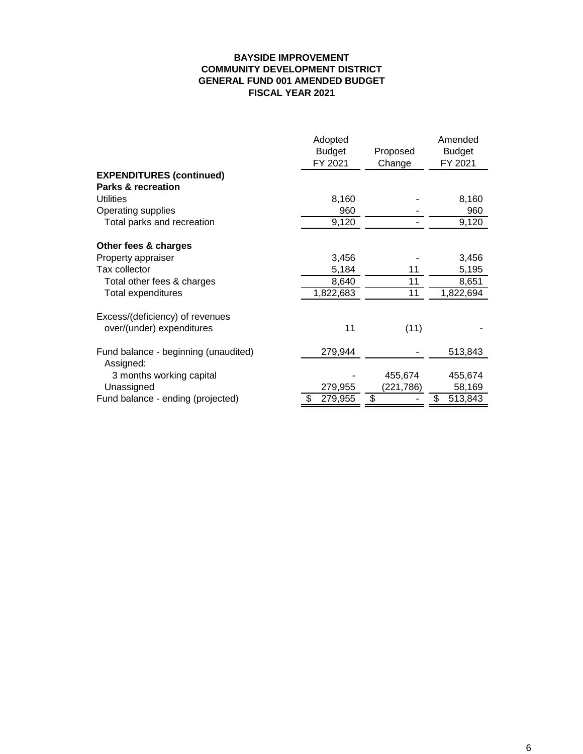#### **BAYSIDE IMPROVEMENT COMMUNITY DEVELOPMENT DISTRICT GENERAL FUND 001 AMENDED BUDGET FISCAL YEAR 2021**

|                                      | Adopted<br><b>Budget</b><br>FY 2021 | Proposed<br>Change | Amended<br><b>Budget</b><br>FY 2021 |
|--------------------------------------|-------------------------------------|--------------------|-------------------------------------|
| <b>EXPENDITURES (continued)</b>      |                                     |                    |                                     |
| <b>Parks &amp; recreation</b>        |                                     |                    |                                     |
| <b>Utilities</b>                     | 8,160                               |                    | 8,160                               |
| Operating supplies                   | 960                                 |                    | 960                                 |
| Total parks and recreation           | 9,120                               |                    | 9,120                               |
| Other fees & charges                 |                                     |                    |                                     |
| Property appraiser                   | 3,456                               |                    | 3,456                               |
| Tax collector                        | 5,184                               | 11                 | 5,195                               |
| Total other fees & charges           | 8,640                               | 11                 | 8,651                               |
| Total expenditures                   | 1,822,683                           | 11                 | 1,822,694                           |
| Excess/(deficiency) of revenues      |                                     |                    |                                     |
| over/(under) expenditures            | 11                                  | (11)               |                                     |
|                                      |                                     |                    |                                     |
| Fund balance - beginning (unaudited) | 279,944                             |                    | 513,843                             |
| Assigned:                            |                                     |                    |                                     |
| 3 months working capital             |                                     | 455,674            | 455,674                             |
| Unassigned                           | 279,955                             | (221,786)          | 58,169                              |
| Fund balance - ending (projected)    | \$<br>279,955                       | \$                 | \$<br>513,843                       |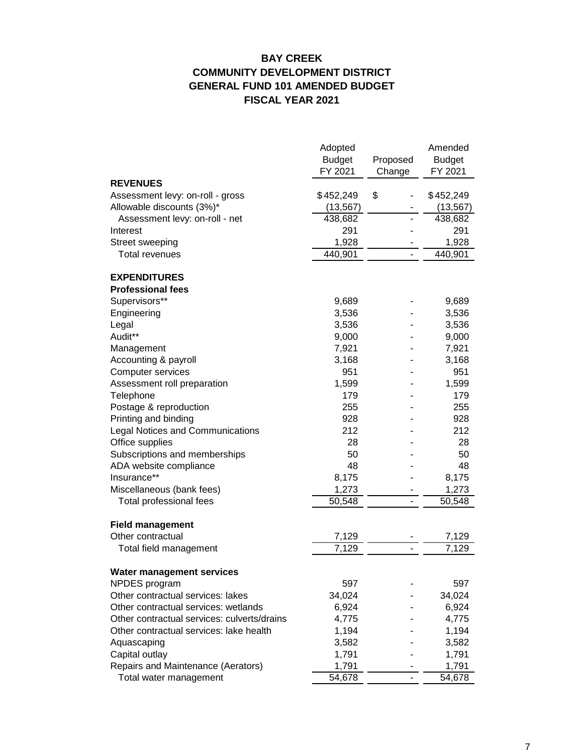# **BAY CREEK COMMUNITY DEVELOPMENT DISTRICT GENERAL FUND 101 AMENDED BUDGET FISCAL YEAR 2021**

|                                             | Adopted       |                | Amended       |
|---------------------------------------------|---------------|----------------|---------------|
|                                             | <b>Budget</b> | Proposed       | <b>Budget</b> |
|                                             | FY 2021       | Change         | FY 2021       |
| <b>REVENUES</b>                             |               |                |               |
| Assessment levy: on-roll - gross            | \$452,249     | \$             | \$452,249     |
| Allowable discounts (3%)*                   | (13, 567)     |                | (13, 567)     |
| Assessment levy: on-roll - net              | 438,682       |                | 438,682       |
| Interest                                    | 291           |                | 291           |
| Street sweeping                             | 1,928         |                | 1,928         |
| <b>Total revenues</b>                       | 440,901       |                | 440,901       |
| <b>EXPENDITURES</b>                         |               |                |               |
| <b>Professional fees</b>                    |               |                |               |
| Supervisors**                               | 9,689         |                | 9,689         |
| Engineering                                 | 3,536         |                | 3,536         |
| Legal                                       | 3,536         |                | 3,536         |
| Audit**                                     | 9,000         |                | 9,000         |
| Management                                  | 7,921         |                | 7,921         |
| Accounting & payroll                        | 3,168         |                | 3,168         |
| <b>Computer services</b>                    | 951           |                | 951           |
| Assessment roll preparation                 | 1,599         |                | 1,599         |
| Telephone                                   | 179           |                | 179           |
| Postage & reproduction                      | 255           |                | 255           |
| Printing and binding                        | 928           |                | 928           |
| <b>Legal Notices and Communications</b>     | 212           |                | 212           |
| Office supplies                             | 28            |                | 28            |
| Subscriptions and memberships               | 50            |                | 50            |
| ADA website compliance                      | 48            |                | 48            |
| Insurance**                                 | 8,175         |                | 8,175         |
| Miscellaneous (bank fees)                   | 1,273         |                | 1,273         |
| Total professional fees                     | 50,548        | $\blacksquare$ | 50,548        |
| <b>Field management</b>                     |               |                |               |
| Other contractual                           | 7,129         |                | 7,129         |
| Total field management                      | 7,129         |                | 7,129         |
| Water management services                   |               |                |               |
| NPDES program                               | 597           |                | 597           |
| Other contractual services: lakes           | 34,024        |                | 34,024        |
| Other contractual services: wetlands        | 6,924         |                | 6,924         |
| Other contractual services: culverts/drains | 4,775         |                | 4,775         |
| Other contractual services: lake health     | 1,194         |                | 1,194         |
| Aquascaping                                 | 3,582         |                | 3,582         |
| Capital outlay                              | 1,791         |                | 1,791         |
| Repairs and Maintenance (Aerators)          | 1,791         |                | 1,791         |
| Total water management                      | 54,678        |                | 54,678        |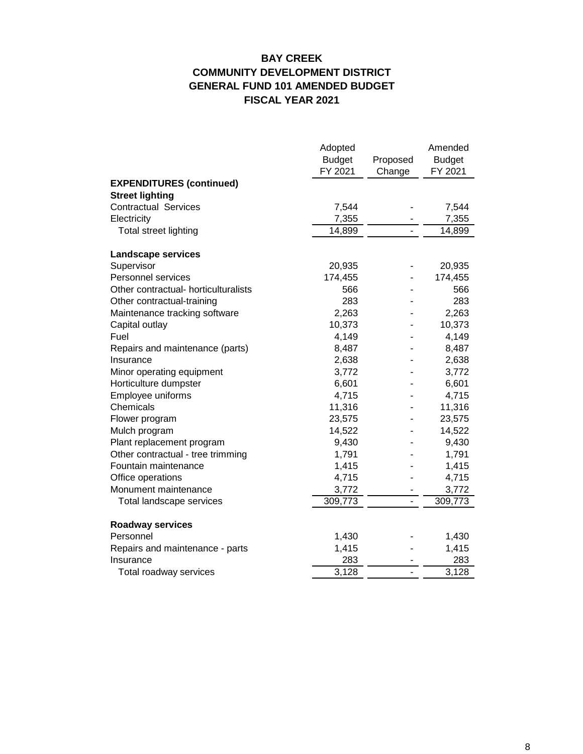# **BAY CREEK COMMUNITY DEVELOPMENT DISTRICT GENERAL FUND 101 AMENDED BUDGET FISCAL YEAR 2021**

|                                      | Adopted       |          | Amended       |
|--------------------------------------|---------------|----------|---------------|
|                                      | <b>Budget</b> | Proposed | <b>Budget</b> |
|                                      | FY 2021       | Change   | FY 2021       |
| <b>EXPENDITURES (continued)</b>      |               |          |               |
| <b>Street lighting</b>               |               |          |               |
| <b>Contractual Services</b>          | 7,544         |          | 7,544         |
| Electricity                          | 7,355         |          | 7,355         |
| Total street lighting                | 14,899        |          | 14,899        |
| <b>Landscape services</b>            |               |          |               |
| Supervisor                           | 20,935        |          | 20,935        |
| Personnel services                   | 174,455       |          | 174,455       |
| Other contractual- horticulturalists | 566           |          | 566           |
| Other contractual-training           | 283           |          | 283           |
| Maintenance tracking software        | 2,263         |          | 2,263         |
| Capital outlay                       | 10,373        |          | 10,373        |
| Fuel                                 | 4,149         |          | 4,149         |
| Repairs and maintenance (parts)      | 8,487         |          | 8,487         |
| Insurance                            | 2,638         |          | 2,638         |
| Minor operating equipment            | 3,772         |          | 3,772         |
| Horticulture dumpster                | 6,601         |          | 6,601         |
| Employee uniforms                    | 4,715         |          | 4,715         |
| Chemicals                            | 11,316        |          | 11,316        |
| Flower program                       | 23,575        |          | 23,575        |
| Mulch program                        | 14,522        |          | 14,522        |
| Plant replacement program            | 9,430         |          | 9,430         |
| Other contractual - tree trimming    | 1,791         |          | 1,791         |
| Fountain maintenance                 | 1,415         |          | 1,415         |
| Office operations                    | 4,715         |          | 4,715         |
| Monument maintenance                 | 3,772         |          | 3,772         |
| Total landscape services             | 309,773       |          | 309,773       |
| <b>Roadway services</b>              |               |          |               |
| Personnel                            | 1,430         |          | 1,430         |
| Repairs and maintenance - parts      | 1,415         |          | 1,415         |
| Insurance                            | 283           |          | 283           |
| Total roadway services               | 3,128         |          | 3,128         |